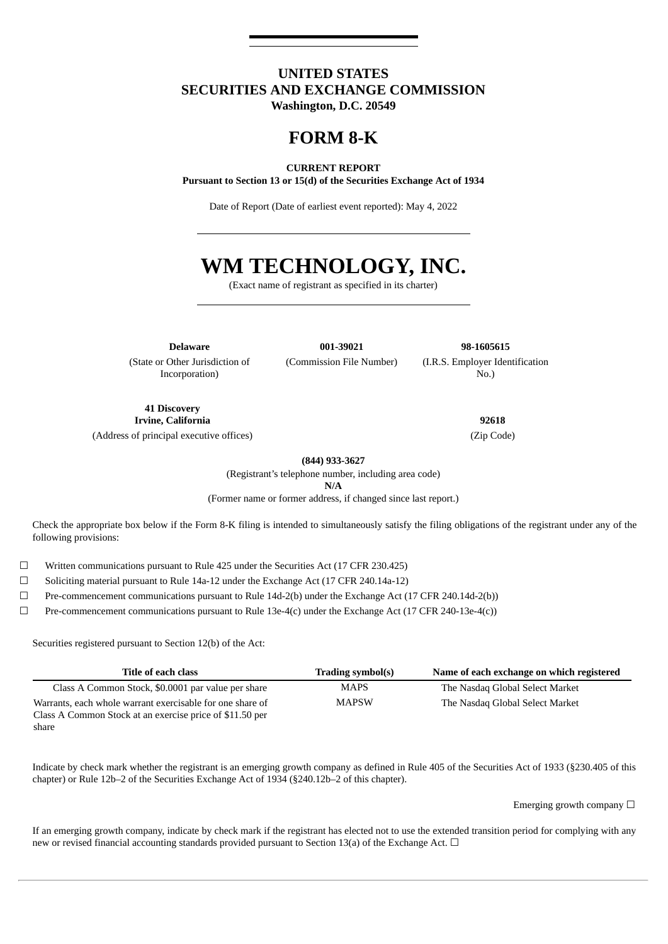# **UNITED STATES SECURITIES AND EXCHANGE COMMISSION**

**Washington, D.C. 20549**

# **FORM 8-K**

**CURRENT REPORT**

**Pursuant to Section 13 or 15(d) of the Securities Exchange Act of 1934**

Date of Report (Date of earliest event reported): May 4, 2022

# **WM TECHNOLOGY, INC.**

(Exact name of registrant as specified in its charter)

(State or Other Jurisdiction of Incorporation)

**Delaware 001-39021 98-1605615**

(Commission File Number) (I.R.S. Employer Identification No.)

**41 Discovery Irvine, California 92618**

(Address of principal executive offices) (Zip Code)

**(844) 933-3627**

(Registrant's telephone number, including area code)

**N/A**

(Former name or former address, if changed since last report.)

Check the appropriate box below if the Form 8-K filing is intended to simultaneously satisfy the filing obligations of the registrant under any of the following provisions:

☐ Written communications pursuant to Rule 425 under the Securities Act (17 CFR 230.425)

☐ Soliciting material pursuant to Rule 14a-12 under the Exchange Act (17 CFR 240.14a-12)

☐ Pre-commencement communications pursuant to Rule 14d-2(b) under the Exchange Act (17 CFR 240.14d-2(b))

 $□$  Pre-commencement communications pursuant to Rule 13e-4(c) under the Exchange Act (17 CFR 240-13e-4(c))

Securities registered pursuant to Section 12(b) of the Act:

| Title of each class                                       | Trading symbol(s) | Name of each exchange on which registered |
|-----------------------------------------------------------|-------------------|-------------------------------------------|
| Class A Common Stock, \$0.0001 par value per share        | <b>MAPS</b>       | The Nasdag Global Select Market           |
| Warrants, each whole warrant exercisable for one share of | <b>MAPSW</b>      | The Nasdag Global Select Market           |
| Class A Common Stock at an exercise price of \$11.50 per  |                   |                                           |
| share                                                     |                   |                                           |

Indicate by check mark whether the registrant is an emerging growth company as defined in Rule 405 of the Securities Act of 1933 (§230.405 of this chapter) or Rule 12b–2 of the Securities Exchange Act of 1934 (§240.12b–2 of this chapter).

Emerging growth company  $\Box$ 

If an emerging growth company, indicate by check mark if the registrant has elected not to use the extended transition period for complying with any new or revised financial accounting standards provided pursuant to Section 13(a) of the Exchange Act.  $\Box$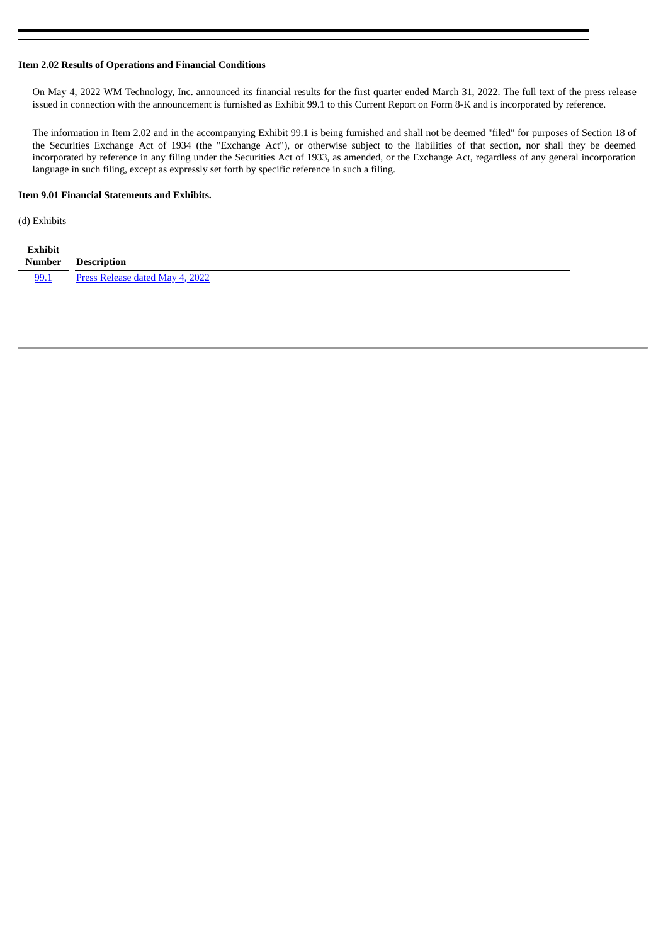# **Item 2.02 Results of Operations and Financial Conditions**

On May 4, 2022 WM Technology, Inc. announced its financial results for the first quarter ended March 31, 2022. The full text of the press release issued in connection with the announcement is furnished as Exhibit 99.1 to this Current Report on Form 8-K and is incorporated by reference.

The information in Item 2.02 and in the accompanying Exhibit 99.1 is being furnished and shall not be deemed "filed" for purposes of Section 18 of the Securities Exchange Act of 1934 (the "Exchange Act"), or otherwise subject to the liabilities of that section, nor shall they be deemed incorporated by reference in any filing under the Securities Act of 1933, as amended, or the Exchange Act, regardless of any general incorporation language in such filing, except as expressly set forth by specific reference in such a filing.

# **Item 9.01 Financial Statements and Exhibits.**

(d) Exhibits

| <b>Exhibit</b> | <b>Number Description</b>       |
|----------------|---------------------------------|
| 99.1           | Press Release dated May 4, 2022 |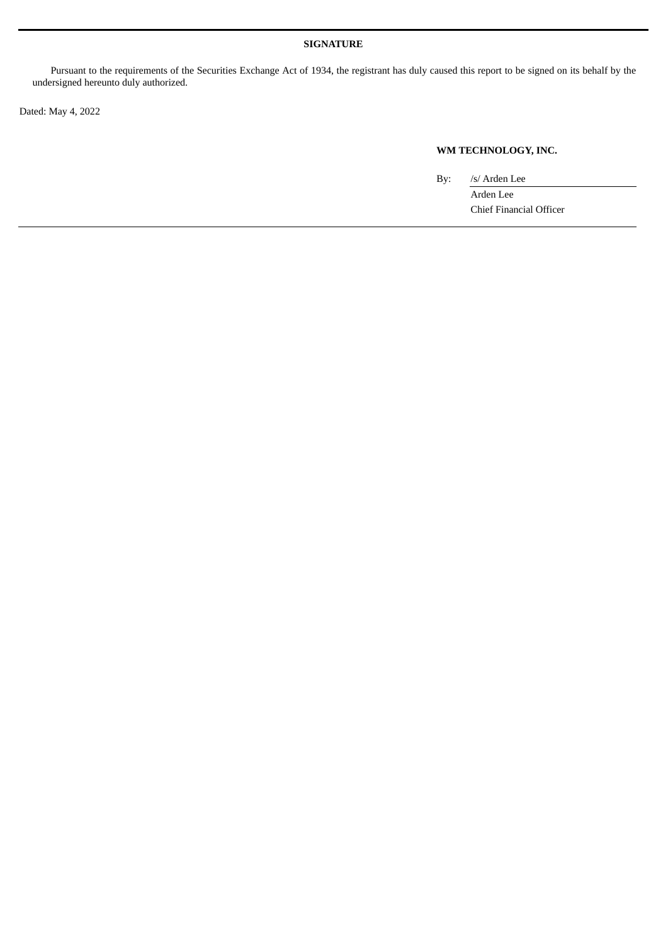# **SIGNATURE**

Pursuant to the requirements of the Securities Exchange Act of 1934, the registrant has duly caused this report to be signed on its behalf by the undersigned hereunto duly authorized.

Dated: May 4, 2022

# **WM TECHNOLOGY, INC.**

By: /s/ Arden Lee

Arden Lee Chief Financial Officer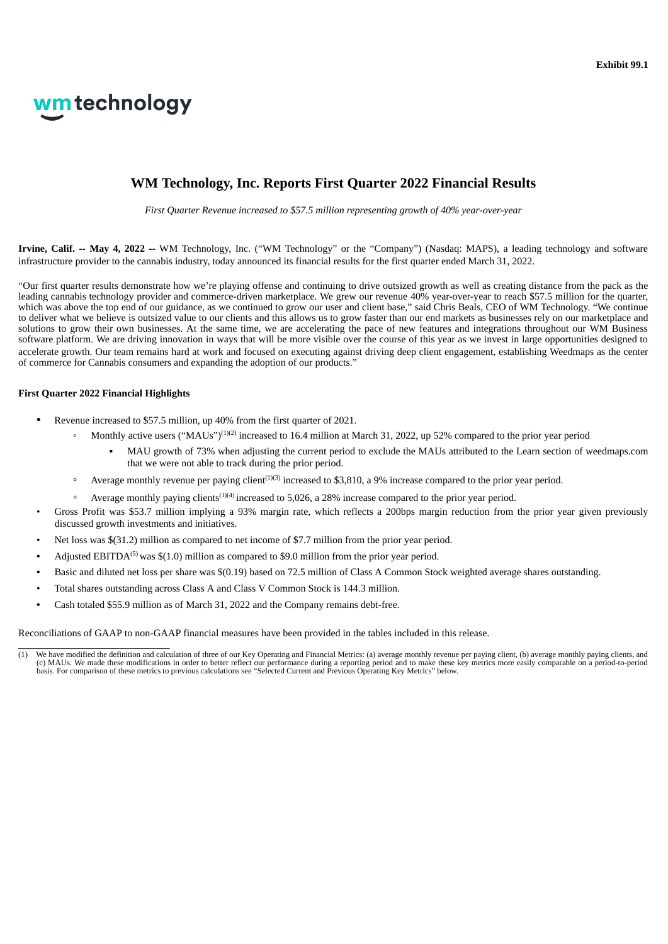# <span id="page-3-0"></span>wm technology

# **WM Technology, Inc. Reports First Quarter 2022 Financial Results**

*First Quarter Revenue increased to \$57.5 million representing growth of 40% year-over-year*

**Irvine, Calif. -- May 4, 2022 --** WM Technology, Inc. ("WM Technology" or the "Company") (Nasdaq: MAPS), a leading technology and software infrastructure provider to the cannabis industry, today announced its financial results for the first quarter ended March 31, 2022.

"Our first quarter results demonstrate how we're playing offense and continuing to drive outsized growth as well as creating distance from the pack as the leading cannabis technology provider and commerce-driven marketplace. We grew our revenue 40% year-over-year to reach \$57.5 million for the quarter, which was above the top end of our guidance, as we continued to grow our user and client base," said Chris Beals, CEO of WM Technology. "We continue to deliver what we believe is outsized value to our clients and this allows us to grow faster than our end markets as businesses rely on our marketplace and solutions to grow their own businesses. At the same time, we are accelerating the pace of new features and integrations throughout our WM Business software platform. We are driving innovation in ways that will be more visible over the course of this year as we invest in large opportunities designed to accelerate growth. Our team remains hard at work and focused on executing against driving deep client engagement, establishing Weedmaps as the center of commerce for Cannabis consumers and expanding the adoption of our products."

# **First Quarter 2022 Financial Highlights**

- Revenue increased to \$57.5 million, up 40% from the first quarter of 2021.
	- **Ⅰ** Monthly active users ("MAUs")<sup>(1)(2)</sup> increased to 16.4 million at March 31, 2022, up 52% compared to the prior year period
		- MAU growth of 73% when adjusting the current period to exclude the MAUs attributed to the Learn section of weedmaps.com that we were not able to track during the prior period.
	- $\degree$  Average monthly revenue per paying client<sup>(1)(3)</sup> increased to \$3,810, a 9% increase compared to the prior year period.
	- $\degree$  Average monthly paying clients<sup>(1)(4)</sup> increased to 5,026, a 28% increase compared to the prior year period.
- Gross Profit was \$53.7 million implying a 93% margin rate, which reflects a 200bps margin reduction from the prior year given previously discussed growth investments and initiatives.
- Net loss was \$(31.2) million as compared to net income of \$7.7 million from the prior year period.
- Adjusted EBITDA<sup>(5)</sup> was \$(1.0) million as compared to \$9.0 million from the prior year period.
- **•** Basic and diluted net loss per share was \$(0.19) based on 72.5 million of Class A Common Stock weighted average shares outstanding.
- Total shares outstanding across Class A and Class V Common Stock is 144.3 million.
- **•** Cash totaled \$55.9 million as of March 31, 2022 and the Company remains debt-free.

Reconciliations of GAAP to non-GAAP financial measures have been provided in the tables included in this release.

\_\_\_\_\_\_\_\_\_\_\_\_\_\_\_\_\_\_\_\_\_\_\_\_\_\_\_\_\_\_ (1) We have modified the definition and calculation of three of our Key Operating and Financial Metrics: (a) average monthly revenue per paying client, (b) average monthly paying clients, and (c) MAUs. We made these modifications in order to better reflect our performance during a reporting period and to make these key metrics more easily comparable on a period-to-period<br>basis. For comparison of these metrics t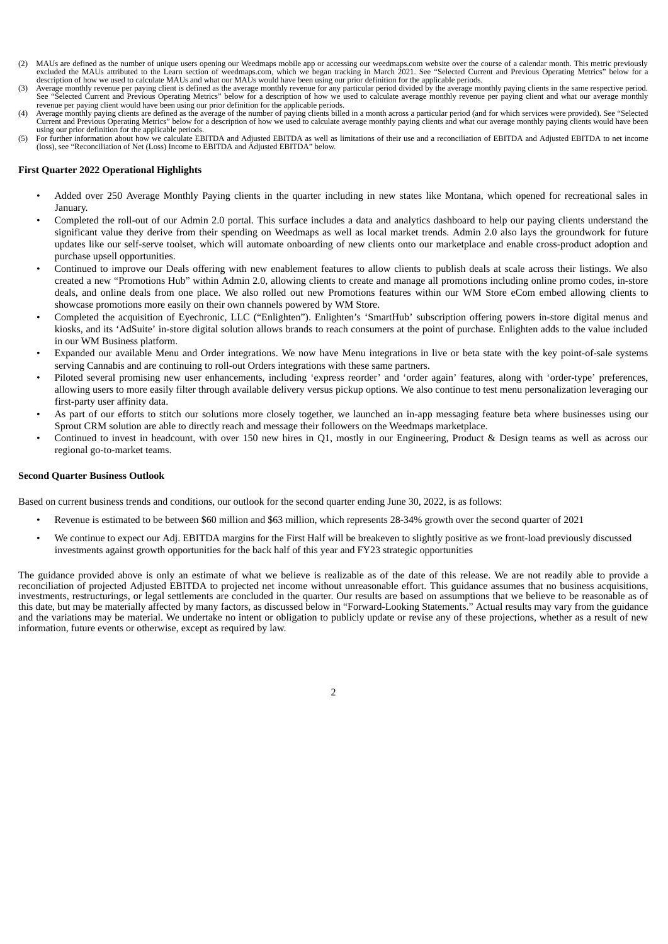- (2) MAUs are defined as the number of unique users opening our Weedmaps mobile app or accessing our weedmaps.com website over the course of a calendar month. This metric previously excluded the MAUs attributed to the Learn section of weedmaps.com, which we began tracking in March 2021. See "Selected Current and Previous Operating Metrics" below for a<br>description of how we used to calculate MAUs and w
- (3) Average monthly revenue per paying client is defined as the average monthly revenue for any particular period divided by the average monthly paying clients in the same respective period. See "Selected Current and Previous Operating Metrics" below for a description of how we used to calculate average monthly revenue per paying client and what our average monthly revenue per paying client would have been using our prior definition for the applicable periods.
- (4) Average monthly paying clients are defined as the average of the number of paying clients billed in a month across a particular period (and for which services were provided). See "Selected Current and Previous Operating Metrics" below for a description of how we used to calculate average monthly paying clients and what our average monthly paying clients would have been using our prior definition for the applicable periods.
- (5) For further information about how we calculate EBITDA and Adjusted EBITDA as well as limitations of their use and a reconciliation of EBITDA and Adjusted EBITDA to net income (loss), see "Reconciliation of Net (Loss) Income to EBITDA and Adjusted EBITDA" below.

#### **First Quarter 2022 Operational Highlights**

- Added over 250 Average Monthly Paying clients in the quarter including in new states like Montana, which opened for recreational sales in January.
- Completed the roll-out of our Admin 2.0 portal. This surface includes a data and analytics dashboard to help our paying clients understand the significant value they derive from their spending on Weedmaps as well as local market trends. Admin 2.0 also lays the groundwork for future updates like our self-serve toolset, which will automate onboarding of new clients onto our marketplace and enable cross-product adoption and purchase upsell opportunities.
- Continued to improve our Deals offering with new enablement features to allow clients to publish deals at scale across their listings. We also created a new "Promotions Hub" within Admin 2.0, allowing clients to create and manage all promotions including online promo codes, in-store deals, and online deals from one place. We also rolled out new Promotions features within our WM Store eCom embed allowing clients to showcase promotions more easily on their own channels powered by WM Store.
- Completed the acquisition of Eyechronic, LLC ("Enlighten"). Enlighten's 'SmartHub' subscription offering powers in-store digital menus and kiosks, and its 'AdSuite' in-store digital solution allows brands to reach consumers at the point of purchase. Enlighten adds to the value included in our WM Business platform.
- Expanded our available Menu and Order integrations. We now have Menu integrations in live or beta state with the key point-of-sale systems serving Cannabis and are continuing to roll-out Orders integrations with these same partners.
- Piloted several promising new user enhancements, including 'express reorder' and 'order again' features, along with 'order-type' preferences, allowing users to more easily filter through available delivery versus pickup options. We also continue to test menu personalization leveraging our first-party user affinity data.
- As part of our efforts to stitch our solutions more closely together, we launched an in-app messaging feature beta where businesses using our Sprout CRM solution are able to directly reach and message their followers on the Weedmaps marketplace.
- Continued to invest in headcount, with over 150 new hires in Q1, mostly in our Engineering, Product & Design teams as well as across our regional go-to-market teams.

# **Second Quarter Business Outlook**

Based on current business trends and conditions, our outlook for the second quarter ending June 30, 2022, is as follows:

- Revenue is estimated to be between \$60 million and \$63 million, which represents 28-34% growth over the second quarter of 2021
- We continue to expect our Adj. EBITDA margins for the First Half will be breakeven to slightly positive as we front-load previously discussed investments against growth opportunities for the back half of this year and FY23 strategic opportunities

The guidance provided above is only an estimate of what we believe is realizable as of the date of this release. We are not readily able to provide a reconciliation of projected Adjusted EBITDA to projected net income without unreasonable effort. This guidance assumes that no business acquisitions, investments, restructurings, or legal settlements are concluded in the quarter. Our results are based on assumptions that we believe to be reasonable as of this date, but may be materially affected by many factors, as discussed below in "Forward-Looking Statements." Actual results may vary from the guidance and the variations may be material. We undertake no intent or obligation to publicly update or revise any of these projections, whether as a result of new information, future events or otherwise, except as required by law.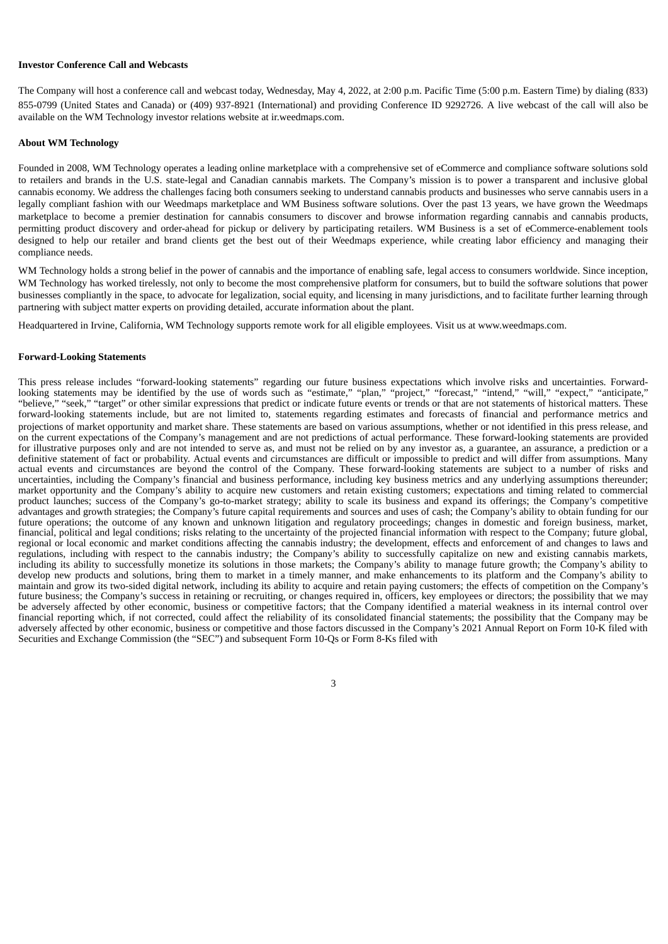#### **Investor Conference Call and Webcasts**

The Company will host a conference call and webcast today, Wednesday, May 4, 2022, at 2:00 p.m. Pacific Time (5:00 p.m. Eastern Time) by dialing (833) 855-0799 (United States and Canada) or (409) 937-8921 (International) and providing Conference ID 9292726. A live webcast of the call will also be available on the WM Technology investor relations website at ir.weedmaps.com.

## **About WM Technology**

Founded in 2008, WM Technology operates a leading online marketplace with a comprehensive set of eCommerce and compliance software solutions sold to retailers and brands in the U.S. state-legal and Canadian cannabis markets. The Company's mission is to power a transparent and inclusive global cannabis economy. We address the challenges facing both consumers seeking to understand cannabis products and businesses who serve cannabis users in a legally compliant fashion with our Weedmaps marketplace and WM Business software solutions. Over the past 13 years, we have grown the Weedmaps marketplace to become a premier destination for cannabis consumers to discover and browse information regarding cannabis and cannabis products, permitting product discovery and order-ahead for pickup or delivery by participating retailers. WM Business is a set of eCommerce-enablement tools designed to help our retailer and brand clients get the best out of their Weedmaps experience, while creating labor efficiency and managing their compliance needs.

WM Technology holds a strong belief in the power of cannabis and the importance of enabling safe, legal access to consumers worldwide. Since inception, WM Technology has worked tirelessly, not only to become the most comprehensive platform for consumers, but to build the software solutions that power businesses compliantly in the space, to advocate for legalization, social equity, and licensing in many jurisdictions, and to facilitate further learning through partnering with subject matter experts on providing detailed, accurate information about the plant.

Headquartered in Irvine, California, WM Technology supports remote work for all eligible employees. Visit us at www.weedmaps.com.

#### **Forward-Looking Statements**

This press release includes "forward-looking statements" regarding our future business expectations which involve risks and uncertainties. Forwardlooking statements may be identified by the use of words such as "estimate," "plan," "project," "forecast," "intend," "will," "expect," "anticipate," "believe," "seek," "target" or other similar expressions that predict or indicate future events or trends or that are not statements of historical matters. These forward-looking statements include, but are not limited to, statements regarding estimates and forecasts of financial and performance metrics and projections of market opportunity and market share. These statements are based on various assumptions, whether or not identified in this press release, and on the current expectations of the Company's management and are not predictions of actual performance. These forward-looking statements are provided for illustrative purposes only and are not intended to serve as, and must not be relied on by any investor as, a guarantee, an assurance, a prediction or a definitive statement of fact or probability. Actual events and circumstances are difficult or impossible to predict and will differ from assumptions. Many actual events and circumstances are beyond the control of the Company. These forward-looking statements are subject to a number of risks and uncertainties, including the Company's financial and business performance, including key business metrics and any underlying assumptions thereunder; market opportunity and the Company's ability to acquire new customers and retain existing customers; expectations and timing related to commercial product launches; success of the Company's go-to-market strategy; ability to scale its business and expand its offerings; the Company's competitive advantages and growth strategies; the Company's future capital requirements and sources and uses of cash; the Company's ability to obtain funding for our future operations; the outcome of any known and unknown litigation and regulatory proceedings; changes in domestic and foreign business, market, financial, political and legal conditions; risks relating to the uncertainty of the projected financial information with respect to the Company; future global, regional or local economic and market conditions affecting the cannabis industry; the development, effects and enforcement of and changes to laws and regulations, including with respect to the cannabis industry; the Company's ability to successfully capitalize on new and existing cannabis markets, including its ability to successfully monetize its solutions in those markets; the Company's ability to manage future growth; the Company's ability to develop new products and solutions, bring them to market in a timely manner, and make enhancements to its platform and the Company's ability to maintain and grow its two-sided digital network, including its ability to acquire and retain paying customers; the effects of competition on the Company's future business; the Company's success in retaining or recruiting, or changes required in, officers, key employees or directors; the possibility that we may be adversely affected by other economic, business or competitive factors; that the Company identified a material weakness in its internal control over financial reporting which, if not corrected, could affect the reliability of its consolidated financial statements; the possibility that the Company may be adversely affected by other economic, business or competitive and those factors discussed in the Company's 2021 Annual Report on Form 10-K filed with Securities and Exchange Commission (the "SEC") and subsequent Form 10-Qs or Form 8-Ks filed with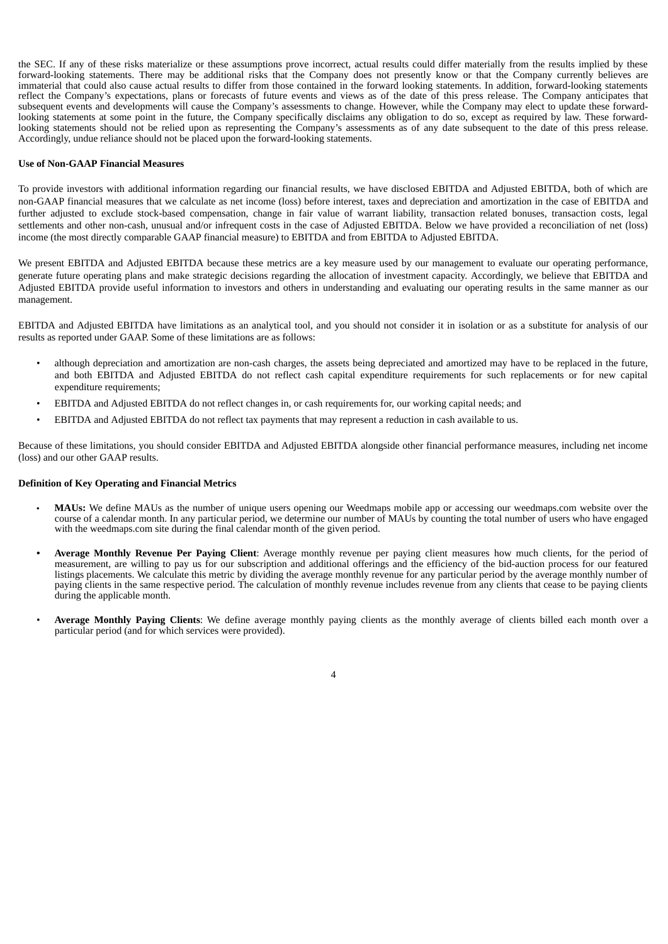the SEC. If any of these risks materialize or these assumptions prove incorrect, actual results could differ materially from the results implied by these forward-looking statements. There may be additional risks that the Company does not presently know or that the Company currently believes are immaterial that could also cause actual results to differ from those contained in the forward looking statements. In addition, forward-looking statements reflect the Company's expectations, plans or forecasts of future events and views as of the date of this press release. The Company anticipates that subsequent events and developments will cause the Company's assessments to change. However, while the Company may elect to update these forwardlooking statements at some point in the future, the Company specifically disclaims any obligation to do so, except as required by law. These forwardlooking statements should not be relied upon as representing the Company's assessments as of any date subsequent to the date of this press release. Accordingly, undue reliance should not be placed upon the forward-looking statements.

#### **Use of Non-GAAP Financial Measures**

To provide investors with additional information regarding our financial results, we have disclosed EBITDA and Adjusted EBITDA, both of which are non-GAAP financial measures that we calculate as net income (loss) before interest, taxes and depreciation and amortization in the case of EBITDA and further adjusted to exclude stock-based compensation, change in fair value of warrant liability, transaction related bonuses, transaction costs, legal settlements and other non-cash, unusual and/or infrequent costs in the case of Adjusted EBITDA. Below we have provided a reconciliation of net (loss) income (the most directly comparable GAAP financial measure) to EBITDA and from EBITDA to Adjusted EBITDA.

We present EBITDA and Adjusted EBITDA because these metrics are a key measure used by our management to evaluate our operating performance, generate future operating plans and make strategic decisions regarding the allocation of investment capacity. Accordingly, we believe that EBITDA and Adjusted EBITDA provide useful information to investors and others in understanding and evaluating our operating results in the same manner as our management.

EBITDA and Adjusted EBITDA have limitations as an analytical tool, and you should not consider it in isolation or as a substitute for analysis of our results as reported under GAAP. Some of these limitations are as follows:

- although depreciation and amortization are non-cash charges, the assets being depreciated and amortized may have to be replaced in the future, and both EBITDA and Adjusted EBITDA do not reflect cash capital expenditure requirements for such replacements or for new capital expenditure requirements;
- EBITDA and Adjusted EBITDA do not reflect changes in, or cash requirements for, our working capital needs; and
- EBITDA and Adjusted EBITDA do not reflect tax payments that may represent a reduction in cash available to us.

Because of these limitations, you should consider EBITDA and Adjusted EBITDA alongside other financial performance measures, including net income (loss) and our other GAAP results.

#### **Definition of Key Operating and Financial Metrics**

- **• MAUs:** We define MAUs as the number of unique users opening our Weedmaps mobile app or accessing our weedmaps.com website over the course of a calendar month. In any particular period, we determine our number of MAUs by counting the total number of users who have engaged with the weedmaps.com site during the final calendar month of the given period.
- **• Average Monthly Revenue Per Paying Client**: Average monthly revenue per paying client measures how much clients, for the period of measurement, are willing to pay us for our subscription and additional offerings and the efficiency of the bid-auction process for our featured listings placements. We calculate this metric by dividing the average monthly revenue for any particular period by the average monthly number of paying clients in the same respective period. The calculation of monthly revenue includes revenue from any clients that cease to be paying clients during the applicable month.
- **Average Monthly Paying Clients**: We define average monthly paying clients as the monthly average of clients billed each month over a particular period (and for which services were provided).

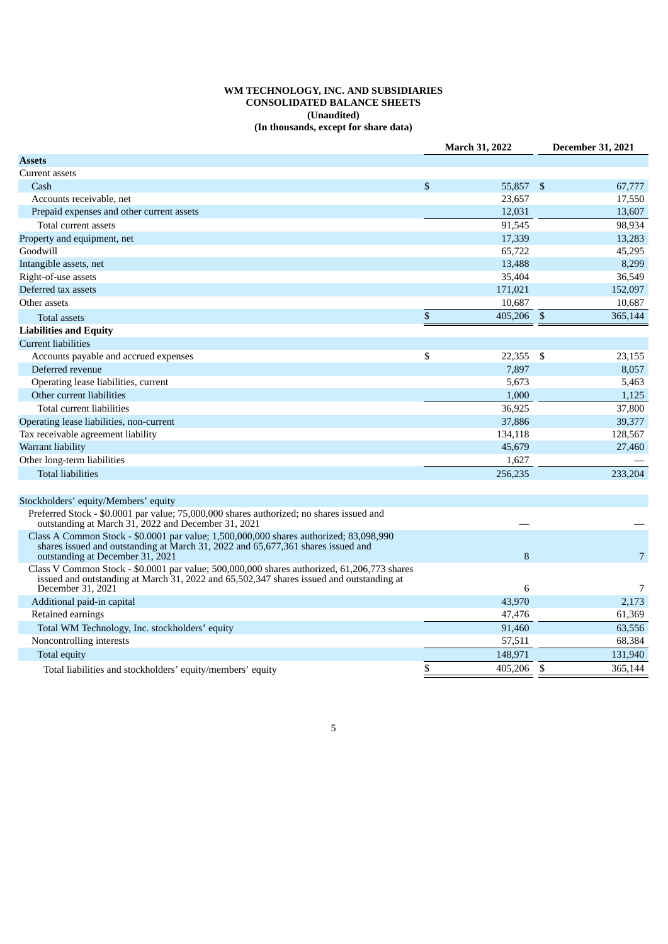# **WM TECHNOLOGY, INC. AND SUBSIDIARIES CONSOLIDATED BALANCE SHEETS (Unaudited) (In thousands, except for share data)**

|                                                                                                                                                                                                                | <b>March 31, 2022</b> |         |                | <b>December 31, 2021</b> |  |
|----------------------------------------------------------------------------------------------------------------------------------------------------------------------------------------------------------------|-----------------------|---------|----------------|--------------------------|--|
| <b>Assets</b>                                                                                                                                                                                                  |                       |         |                |                          |  |
| Current assets                                                                                                                                                                                                 |                       |         |                |                          |  |
| Cash                                                                                                                                                                                                           | \$                    | 55,857  | -\$            | 67,777                   |  |
| Accounts receivable, net                                                                                                                                                                                       |                       | 23,657  |                | 17,550                   |  |
| Prepaid expenses and other current assets                                                                                                                                                                      |                       | 12,031  |                | 13,607                   |  |
| Total current assets                                                                                                                                                                                           |                       | 91,545  |                | 98,934                   |  |
| Property and equipment, net                                                                                                                                                                                    |                       | 17,339  |                | 13,283                   |  |
| Goodwill                                                                                                                                                                                                       |                       | 65,722  |                | 45,295                   |  |
| Intangible assets, net                                                                                                                                                                                         |                       | 13,488  |                | 8,299                    |  |
| Right-of-use assets                                                                                                                                                                                            |                       | 35,404  |                | 36,549                   |  |
| Deferred tax assets                                                                                                                                                                                            |                       | 171,021 |                | 152,097                  |  |
| Other assets                                                                                                                                                                                                   |                       | 10,687  |                | 10,687                   |  |
| <b>Total assets</b>                                                                                                                                                                                            | \$                    | 405,206 | $\mathfrak{s}$ | 365,144                  |  |
| <b>Liabilities and Equity</b>                                                                                                                                                                                  |                       |         |                |                          |  |
| <b>Current liabilities</b>                                                                                                                                                                                     |                       |         |                |                          |  |
| Accounts payable and accrued expenses                                                                                                                                                                          | \$                    | 22,355  | - \$           | 23,155                   |  |
| Deferred revenue                                                                                                                                                                                               |                       | 7,897   |                | 8,057                    |  |
| Operating lease liabilities, current                                                                                                                                                                           |                       | 5,673   |                | 5,463                    |  |
| Other current liabilities                                                                                                                                                                                      |                       | 1,000   |                | 1,125                    |  |
| Total current liabilities                                                                                                                                                                                      |                       | 36,925  |                | 37,800                   |  |
| Operating lease liabilities, non-current                                                                                                                                                                       |                       | 37,886  |                | 39,377                   |  |
| Tax receivable agreement liability                                                                                                                                                                             |                       | 134,118 |                | 128,567                  |  |
| Warrant liability                                                                                                                                                                                              |                       | 45,679  |                | 27,460                   |  |
| Other long-term liabilities                                                                                                                                                                                    |                       | 1,627   |                |                          |  |
| <b>Total liabilities</b>                                                                                                                                                                                       |                       | 256,235 |                | 233,204                  |  |
|                                                                                                                                                                                                                |                       |         |                |                          |  |
| Stockholders' equity/Members' equity                                                                                                                                                                           |                       |         |                |                          |  |
| Preferred Stock - \$0.0001 par value; 75,000,000 shares authorized; no shares issued and<br>outstanding at March 31, 2022 and December 31, 2021                                                                |                       |         |                |                          |  |
| Class A Common Stock - \$0.0001 par value; 1,500,000,000 shares authorized; 83,098,990<br>shares issued and outstanding at March 31, 2022 and 65,677,361 shares issued and<br>outstanding at December 31, 2021 |                       | 8       |                | 7                        |  |
| Class V Common Stock - \$0.0001 par value; 500,000,000 shares authorized, 61,206,773 shares<br>issued and outstanding at March 31, 2022 and 65,502,347 shares issued and outstanding at<br>December 31, 2021   |                       | 6       |                | 7                        |  |
| Additional paid-in capital                                                                                                                                                                                     |                       | 43,970  |                | 2,173                    |  |
| Retained earnings                                                                                                                                                                                              |                       | 47,476  |                | 61,369                   |  |
| Total WM Technology, Inc. stockholders' equity                                                                                                                                                                 |                       | 91,460  |                | 63,556                   |  |
| Noncontrolling interests                                                                                                                                                                                       |                       | 57,511  |                | 68,384                   |  |
| Total equity                                                                                                                                                                                                   |                       | 148,971 |                | 131,940                  |  |
| Total liabilities and stockholders' equity/members' equity                                                                                                                                                     | \$                    | 405,206 | \$             | 365,144                  |  |

5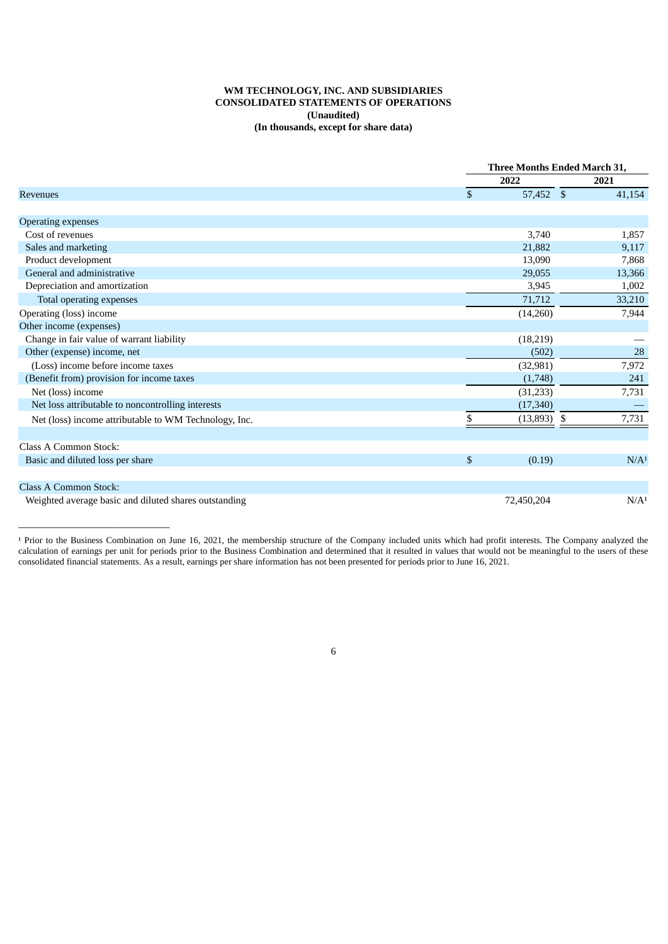# **WM TECHNOLOGY, INC. AND SUBSIDIARIES CONSOLIDATED STATEMENTS OF OPERATIONS (Unaudited) (In thousands, except for share data)**

|                                                       |               | <b>Three Months Ended March 31,</b> |                  |  |
|-------------------------------------------------------|---------------|-------------------------------------|------------------|--|
|                                                       | 2022          |                                     | 2021             |  |
| <b>Revenues</b>                                       | $\mathbf{\$}$ | 57,452 \$                           | 41,154           |  |
|                                                       |               |                                     |                  |  |
| Operating expenses                                    |               |                                     |                  |  |
| Cost of revenues                                      |               | 3,740                               | 1,857            |  |
| Sales and marketing                                   |               | 21,882                              | 9,117            |  |
| Product development                                   |               | 13,090                              | 7,868            |  |
| General and administrative                            |               | 29,055                              | 13,366           |  |
| Depreciation and amortization                         |               | 3,945                               | 1,002            |  |
| Total operating expenses                              |               | 71,712                              | 33,210           |  |
| Operating (loss) income                               |               | (14,260)                            | 7,944            |  |
| Other income (expenses)                               |               |                                     |                  |  |
| Change in fair value of warrant liability             |               | (18, 219)                           |                  |  |
| Other (expense) income, net                           |               | (502)                               | 28               |  |
| (Loss) income before income taxes                     |               | (32, 981)                           | 7,972            |  |
| (Benefit from) provision for income taxes             |               | (1,748)                             | 241              |  |
| Net (loss) income                                     |               | (31,233)                            | 7,731            |  |
| Net loss attributable to noncontrolling interests     |               | (17, 340)                           |                  |  |
| Net (loss) income attributable to WM Technology, Inc. | \$            | $(13,893)$ \$                       | 7,731            |  |
| Class A Common Stock:                                 |               |                                     |                  |  |
| Basic and diluted loss per share                      | \$            | (0.19)                              | N/A <sup>1</sup> |  |
|                                                       |               |                                     |                  |  |
| Class A Common Stock:                                 |               |                                     |                  |  |
| Weighted average basic and diluted shares outstanding | 72.450.204    |                                     | N/A <sup>1</sup> |  |

<sup>&</sup>lt;sup>1</sup> Prior to the Business Combination on June 16, 2021, the membership structure of the Company included units which had profit interests. The Company analyzed the calculation of earnings per unit for periods prior to the Business Combination and determined that it resulted in values that would not be meaningful to the users of these consolidated financial statements. As a result, earnings per share information has not been presented for periods prior to June 16, 2021.

6

\_\_\_\_\_\_\_\_\_\_\_\_\_\_\_\_\_\_\_\_\_\_\_\_\_\_\_\_\_\_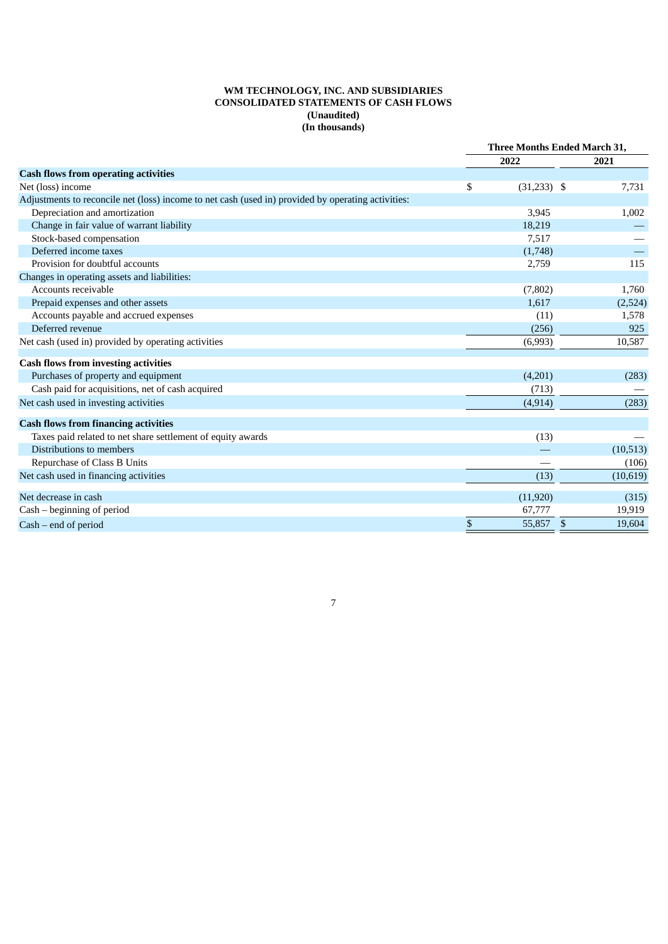# **WM TECHNOLOGY, INC. AND SUBSIDIARIES CONSOLIDATED STATEMENTS OF CASH FLOWS (Unaudited) (In thousands)**

|                                                                                                    |    | <b>Three Months Ended March 31,</b> |  |          |  |
|----------------------------------------------------------------------------------------------------|----|-------------------------------------|--|----------|--|
|                                                                                                    |    | 2022                                |  | 2021     |  |
| <b>Cash flows from operating activities</b>                                                        |    |                                     |  |          |  |
| Net (loss) income                                                                                  | \$ | $(31,233)$ \$                       |  | 7,731    |  |
| Adjustments to reconcile net (loss) income to net cash (used in) provided by operating activities: |    |                                     |  |          |  |
| Depreciation and amortization                                                                      |    | 3,945                               |  | 1,002    |  |
| Change in fair value of warrant liability                                                          |    | 18,219                              |  |          |  |
| Stock-based compensation                                                                           |    | 7,517                               |  |          |  |
| Deferred income taxes                                                                              |    | (1,748)                             |  |          |  |
| Provision for doubtful accounts                                                                    |    | 2,759                               |  | 115      |  |
| Changes in operating assets and liabilities:                                                       |    |                                     |  |          |  |
| Accounts receivable                                                                                |    | (7,802)                             |  | 1,760    |  |
| Prepaid expenses and other assets                                                                  |    | 1,617                               |  | (2,524)  |  |
| Accounts payable and accrued expenses                                                              |    | (11)                                |  | 1,578    |  |
| Deferred revenue                                                                                   |    | (256)                               |  | 925      |  |
| Net cash (used in) provided by operating activities                                                |    | (6,993)                             |  | 10,587   |  |
| <b>Cash flows from investing activities</b>                                                        |    |                                     |  |          |  |
| Purchases of property and equipment                                                                |    | (4,201)                             |  | (283)    |  |
| Cash paid for acquisitions, net of cash acquired                                                   |    | (713)                               |  |          |  |
| Net cash used in investing activities                                                              |    | (4, 914)                            |  | (283)    |  |
| <b>Cash flows from financing activities</b>                                                        |    |                                     |  |          |  |
| Taxes paid related to net share settlement of equity awards                                        |    | (13)                                |  |          |  |
| Distributions to members                                                                           |    |                                     |  | (10,513) |  |
| Repurchase of Class B Units                                                                        |    |                                     |  | (106)    |  |
| Net cash used in financing activities                                                              |    | (13)                                |  | (10,619) |  |
| Net decrease in cash                                                                               |    | (11,920)                            |  | (315)    |  |
| Cash - beginning of period                                                                         |    | 67,777                              |  | 19,919   |  |
| Cash – end of period                                                                               | \$ | 55,857 \$                           |  | 19,604   |  |

7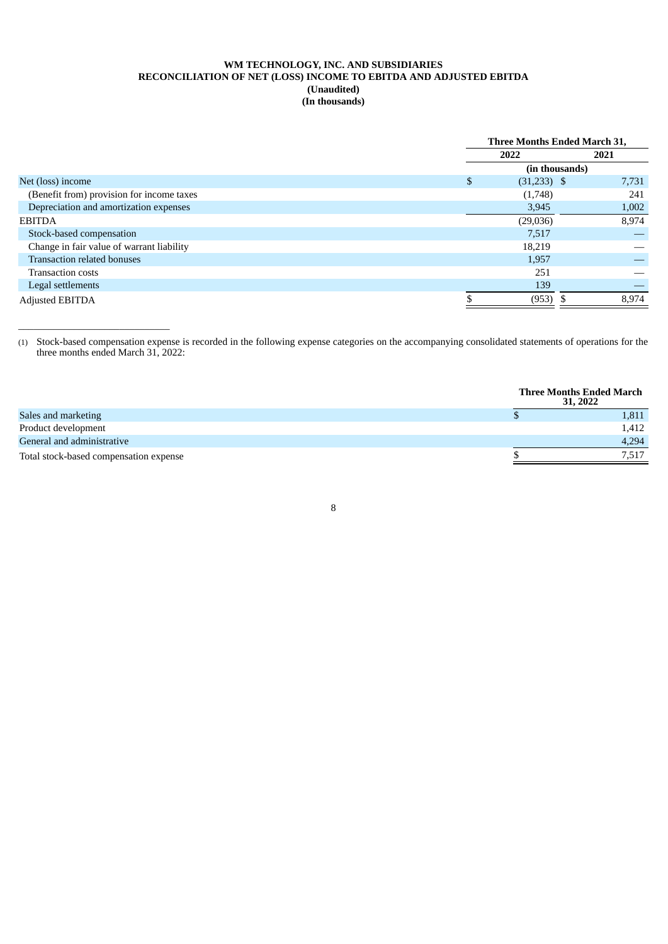# **WM TECHNOLOGY, INC. AND SUBSIDIARIES RECONCILIATION OF NET (LOSS) INCOME TO EBITDA AND ADJUSTED EBITDA (Unaudited) (In thousands)**

|                                           | Three Months Ended March 31, |       |  |
|-------------------------------------------|------------------------------|-------|--|
|                                           | 2022                         | 2021  |  |
|                                           | (in thousands)               |       |  |
| Net (loss) income                         | \$<br>$(31,233)$ \$          | 7,731 |  |
| (Benefit from) provision for income taxes | (1,748)                      | 241   |  |
| Depreciation and amortization expenses    | 3,945                        | 1,002 |  |
| <b>EBITDA</b>                             | (29,036)                     | 8,974 |  |
| Stock-based compensation                  | 7,517                        |       |  |
| Change in fair value of warrant liability | 18,219                       |       |  |
| Transaction related bonuses               | 1,957                        |       |  |
| <b>Transaction costs</b>                  | 251                          |       |  |
| Legal settlements                         | 139                          |       |  |
| <b>Adjusted EBITDA</b>                    | (953)                        | 8,974 |  |

(1) Stock-based compensation expense is recorded in the following expense categories on the accompanying consolidated statements of operations for the three months ended March 31, 2022:

\_\_\_\_\_\_\_\_\_\_\_\_\_\_\_\_\_\_\_\_\_\_\_\_\_\_\_\_\_\_

|                                        | <b>Three Months Ended March</b><br>31, 2022 |       |
|----------------------------------------|---------------------------------------------|-------|
| Sales and marketing                    |                                             | 1,811 |
| Product development                    |                                             | 1,412 |
| General and administrative             |                                             | 4.294 |
| Total stock-based compensation expense |                                             | 7,517 |

8